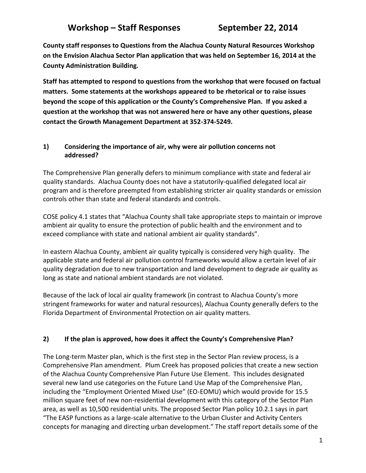# Workshop – Staff Responses September 22, 2014

**County staff responses to Questions from the Alachua County Natural Resources Workshop on the Envision Alachua Sector Plan application that was held on September 16, 2014 at the County Administration Building.**

**Staff has attempted to respond to questions from the workshop that were focused on factual matters. Some statements at the workshops appeared to be rhetorical or to raise issues beyond the scope of this application or the County's Comprehensive Plan. If you asked a question at the workshop that was not answered here or have any other questions, please contact the Growth Management Department at 352-374-5249.**

#### **1) Considering the importance of air, why were air pollution concerns not addressed?**

The Comprehensive Plan generally defers to minimum compliance with state and federal air quality standards. Alachua County does not have a statutorily-qualified delegated local air program and is therefore preempted from establishing stricter air quality standards or emission controls other than state and federal standards and controls.

COSE policy 4.1 states that "Alachua County shall take appropriate steps to maintain or improve ambient air quality to ensure the protection of public health and the environment and to exceed compliance with state and national ambient air quality standards".

In eastern Alachua County, ambient air quality typically is considered very high quality. The applicable state and federal air pollution control frameworks would allow a certain level of air quality degradation due to new transportation and land development to degrade air quality as long as state and national ambient standards are not violated.

Because of the lack of local air quality framework (in contrast to Alachua County's more stringent frameworks for water and natural resources), Alachua County generally defers to the Florida Department of Environmental Protection on air quality matters.

## **2) If the plan is approved, how does it affect the County's Comprehensive Plan?**

The Long-term Master plan, which is the first step in the Sector Plan review process, is a Comprehensive Plan amendment. Plum Creek has proposed policies that create a new section of the Alachua County Comprehensive Plan Future Use Element. This includes designated several new land use categories on the Future Land Use Map of the Comprehensive Plan, including the "Employment Oriented Mixed Use" (EO-EOMU) which would provide for 15.5 million square feet of new non-residential development with this category of the Sector Plan area, as well as 10,500 residential units. The proposed Sector Plan policy 10.2.1 says in part "The EASP functions as a large-scale alternative to the Urban Cluster and Activity Centers concepts for managing and directing urban development." The staff report details some of the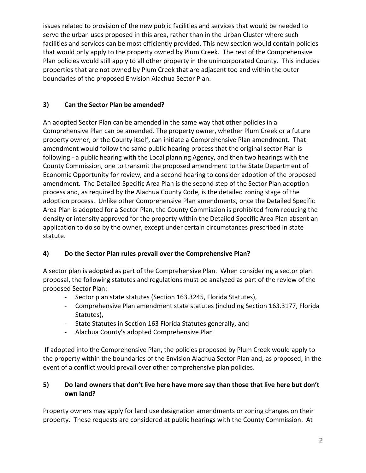issues related to provision of the new public facilities and services that would be needed to serve the urban uses proposed in this area, rather than in the Urban Cluster where such facilities and services can be most efficiently provided. This new section would contain policies that would only apply to the property owned by Plum Creek. The rest of the Comprehensive Plan policies would still apply to all other property in the unincorporated County. This includes properties that are not owned by Plum Creek that are adjacent too and within the outer boundaries of the proposed Envision Alachua Sector Plan.

## **3) Can the Sector Plan be amended?**

An adopted Sector Plan can be amended in the same way that other policies in a Comprehensive Plan can be amended. The property owner, whether Plum Creek or a future property owner, or the County itself, can initiate a Comprehensive Plan amendment. That amendment would follow the same public hearing process that the original sector Plan is following - a public hearing with the Local planning Agency, and then two hearings with the County Commission, one to transmit the proposed amendment to the State Department of Economic Opportunity for review, and a second hearing to consider adoption of the proposed amendment. The Detailed Specific Area Plan is the second step of the Sector Plan adoption process and, as required by the Alachua County Code, is the detailed zoning stage of the adoption process. Unlike other Comprehensive Plan amendments, once the Detailed Specific Area Plan is adopted for a Sector Plan, the County Commission is prohibited from reducing the density or intensity approved for the property within the Detailed Specific Area Plan absent an application to do so by the owner, except under certain circumstances prescribed in state statute.

# **4) Do the Sector Plan rules prevail over the Comprehensive Plan?**

A sector plan is adopted as part of the Comprehensive Plan. When considering a sector plan proposal, the following statutes and regulations must be analyzed as part of the review of the proposed Sector Plan:

- Sector plan state statutes (Section 163.3245, Florida Statutes),
- Comprehensive Plan amendment state statutes (including Section 163.3177, Florida Statutes),
- State Statutes in Section 163 Florida Statutes generally, and
- Alachua County's adopted Comprehensive Plan

If adopted into the Comprehensive Plan, the policies proposed by Plum Creek would apply to the property within the boundaries of the Envision Alachua Sector Plan and, as proposed, in the event of a conflict would prevail over other comprehensive plan policies.

# **5) Do land owners that don't live here have more say than those that live here but don't own land?**

Property owners may apply for land use designation amendments or zoning changes on their property. These requests are considered at public hearings with the County Commission. At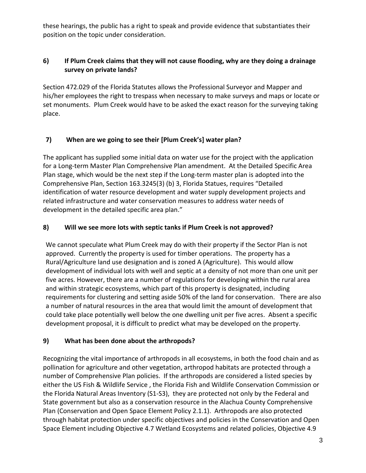these hearings, the public has a right to speak and provide evidence that substantiates their position on the topic under consideration.

## **6) If Plum Creek claims that they will not cause flooding, why are they doing a drainage survey on private lands?**

Section 472.029 of the Florida Statutes allows the Professional Surveyor and Mapper and his/her employees the right to trespass when necessary to make surveys and maps or locate or set monuments. Plum Creek would have to be asked the exact reason for the surveying taking place.

# **7) When are we going to see their [Plum Creek's] water plan?**

The applicant has supplied some initial data on water use for the project with the application for a Long-term Master Plan Comprehensive Plan amendment. At the Detailed Specific Area Plan stage, which would be the next step if the Long-term master plan is adopted into the Comprehensive Plan, Section 163.3245(3) (b) 3, Florida Statues, requires "Detailed identification of water resource development and water supply development projects and related infrastructure and water conservation measures to address water needs of development in the detailed specific area plan."

#### **8) Will we see more lots with septic tanks if Plum Creek is not approved?**

We cannot speculate what Plum Creek may do with their property if the Sector Plan is not approved. Currently the property is used for timber operations. The property has a Rural/Agriculture land use designation and is zoned A (Agriculture). This would allow development of individual lots with well and septic at a density of not more than one unit per five acres. However, there are a number of regulations for developing within the rural area and within strategic ecosystems, which part of this property is designated, including requirements for clustering and setting aside 50% of the land for conservation. There are also a number of natural resources in the area that would limit the amount of development that could take place potentially well below the one dwelling unit per five acres. Absent a specific development proposal, it is difficult to predict what may be developed on the property.

#### **9) What has been done about the arthropods?**

Recognizing the vital importance of arthropods in all ecosystems, in both the food chain and as pollination for agriculture and other vegetation, arthropod habitats are protected through a number of Comprehensive Plan policies. If the arthropods are considered a listed species by either the US Fish & Wildlife Service , the Florida Fish and Wildlife Conservation Commission or the Florida Natural Areas Inventory (S1-S3), they are protected not only by the Federal and State government but also as a conservation resource in the Alachua County Comprehensive Plan (Conservation and Open Space Element Policy 2.1.1). Arthropods are also protected through habitat protection under specific objectives and policies in the Conservation and Open Space Element including Objective 4.7 Wetland Ecosystems and related policies, Objective 4.9